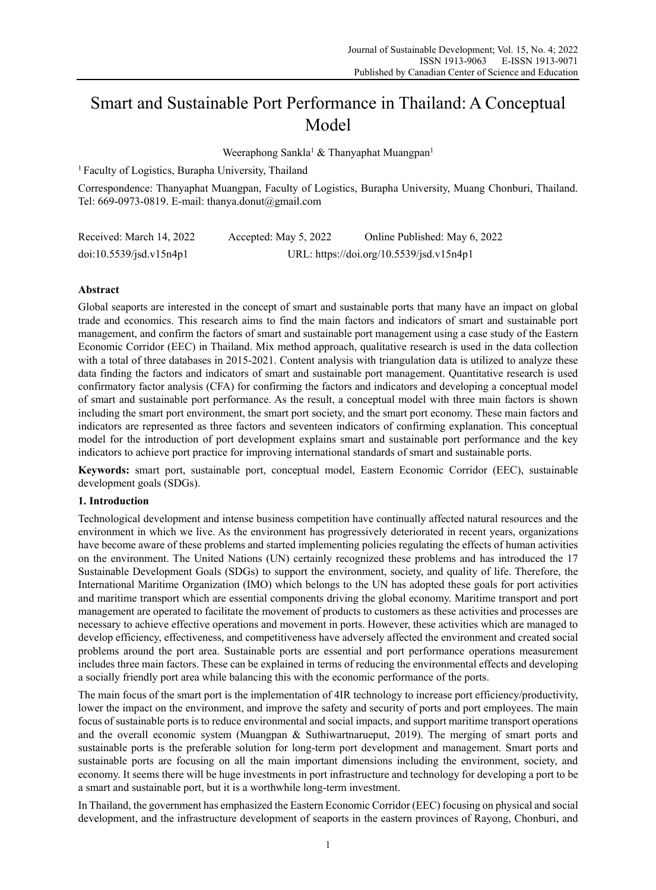# Smart and Sustainable Port Performance in Thailand: A Conceptual Model

Weeraphong Sankla<sup>1</sup> & Thanyaphat Muangpan<sup>1</sup>

1 Faculty of Logistics, Burapha University, Thailand

Correspondence: Thanyaphat Muangpan, Faculty of Logistics, Burapha University, Muang Chonburi, Thailand. Tel: 669-0973-0819. E-mail: thanya.donut@gmail.com

| Received: March 14, 2022 | Accepted: May 5, 2022 | Online Published: May 6, 2022            |
|--------------------------|-----------------------|------------------------------------------|
| doi:10.5539/jsd.v15n4p1  |                       | URL: https://doi.org/10.5539/jsd.v15n4p1 |

## **Abstract**

Global seaports are interested in the concept of smart and sustainable ports that many have an impact on global trade and economics. This research aims to find the main factors and indicators of smart and sustainable port management, and confirm the factors of smart and sustainable port management using a case study of the Eastern Economic Corridor (EEC) in Thailand. Mix method approach, qualitative research is used in the data collection with a total of three databases in 2015-2021. Content analysis with triangulation data is utilized to analyze these data finding the factors and indicators of smart and sustainable port management. Quantitative research is used confirmatory factor analysis (CFA) for confirming the factors and indicators and developing a conceptual model of smart and sustainable port performance. As the result, a conceptual model with three main factors is shown including the smart port environment, the smart port society, and the smart port economy. These main factors and indicators are represented as three factors and seventeen indicators of confirming explanation. This conceptual model for the introduction of port development explains smart and sustainable port performance and the key indicators to achieve port practice for improving international standards of smart and sustainable ports.

**Keywords:** smart port, sustainable port, conceptual model, Eastern Economic Corridor (EEC), sustainable development goals (SDGs).

## **1. Introduction**

Technological development and intense business competition have continually affected natural resources and the environment in which we live. As the environment has progressively deteriorated in recent years, organizations have become aware of these problems and started implementing policies regulating the effects of human activities on the environment. The United Nations (UN) certainly recognized these problems and has introduced the 17 Sustainable Development Goals (SDGs) to support the environment, society, and quality of life. Therefore, the International Maritime Organization (IMO) which belongs to the UN has adopted these goals for port activities and maritime transport which are essential components driving the global economy. Maritime transport and port management are operated to facilitate the movement of products to customers as these activities and processes are necessary to achieve effective operations and movement in ports. However, these activities which are managed to develop efficiency, effectiveness, and competitiveness have adversely affected the environment and created social problems around the port area. Sustainable ports are essential and port performance operations measurement includes three main factors. These can be explained in terms of reducing the environmental effects and developing a socially friendly port area while balancing this with the economic performance of the ports.

The main focus of the smart port is the implementation of 4IR technology to increase port efficiency/productivity, lower the impact on the environment, and improve the safety and security of ports and port employees. The main focus of sustainable ports is to reduce environmental and social impacts, and support maritime transport operations and the overall economic system (Muangpan & Suthiwartnarueput, 2019). The merging of smart ports and sustainable ports is the preferable solution for long-term port development and management. Smart ports and sustainable ports are focusing on all the main important dimensions including the environment, society, and economy. It seems there will be huge investments in port infrastructure and technology for developing a port to be a smart and sustainable port, but it is a worthwhile long-term investment.

In Thailand, the government has emphasized the Eastern Economic Corridor (EEC) focusing on physical and social development, and the infrastructure development of seaports in the eastern provinces of Rayong, Chonburi, and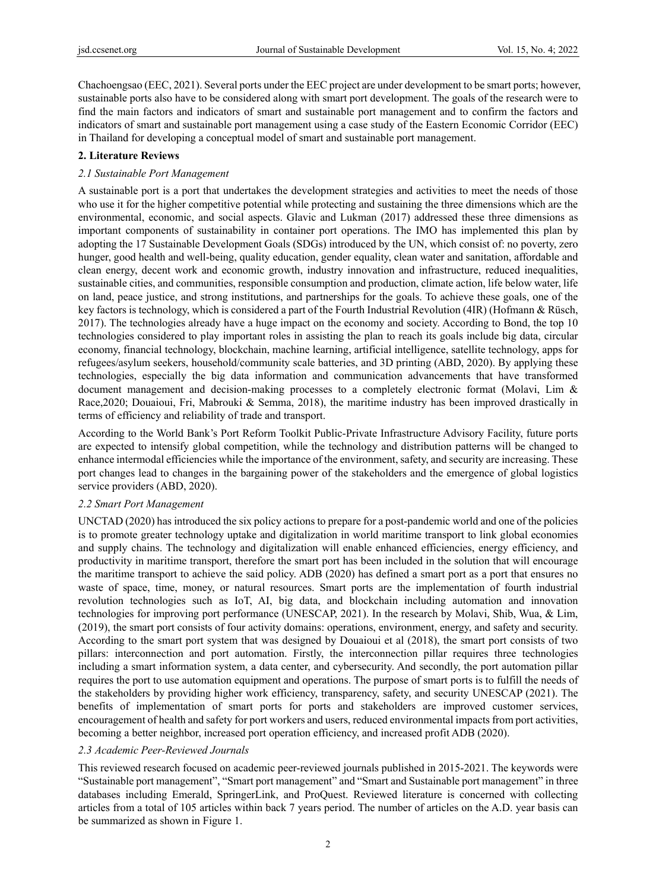Chachoengsao (EEC, 2021). Several ports under the EEC project are under development to be smart ports; however, sustainable ports also have to be considered along with smart port development. The goals of the research were to find the main factors and indicators of smart and sustainable port management and to confirm the factors and indicators of smart and sustainable port management using a case study of the Eastern Economic Corridor (EEC) in Thailand for developing a conceptual model of smart and sustainable port management.

## **2. Literature Reviews**

## *2.1 Sustainable Port Management*

A sustainable port is a port that undertakes the development strategies and activities to meet the needs of those who use it for the higher competitive potential while protecting and sustaining the three dimensions which are the environmental, economic, and social aspects. Glavic and Lukman (2017) addressed these three dimensions as important components of sustainability in container port operations. The IMO has implemented this plan by adopting the 17 Sustainable Development Goals (SDGs) introduced by the UN, which consist of: no poverty, zero hunger, good health and well-being, quality education, gender equality, clean water and sanitation, affordable and clean energy, decent work and economic growth, industry innovation and infrastructure, reduced inequalities, sustainable cities, and communities, responsible consumption and production, climate action, life below water, life on land, peace justice, and strong institutions, and partnerships for the goals. To achieve these goals, one of the key factors is technology, which is considered a part of the Fourth Industrial Revolution (4IR) (Hofmann & Rüsch, 2017). The technologies already have a huge impact on the economy and society. According to Bond, the top 10 technologies considered to play important roles in assisting the plan to reach its goals include big data, circular economy, financial technology, blockchain, machine learning, artificial intelligence, satellite technology, apps for refugees/asylum seekers, household/community scale batteries, and 3D printing (ABD, 2020). By applying these technologies, especially the big data information and communication advancements that have transformed document management and decision-making processes to a completely electronic format (Molavi, Lim & Race,2020; Douaioui, Fri, Mabrouki & Semma, 2018), the maritime industry has been improved drastically in terms of efficiency and reliability of trade and transport.

According to the World Bank's Port Reform Toolkit Public-Private Infrastructure Advisory Facility, future ports are expected to intensify global competition, while the technology and distribution patterns will be changed to enhance intermodal efficiencies while the importance of the environment, safety, and security are increasing. These port changes lead to changes in the bargaining power of the stakeholders and the emergence of global logistics service providers (ABD, 2020).

## *2.2 Smart Port Management*

UNCTAD (2020) has introduced the six policy actions to prepare for a post-pandemic world and one of the policies is to promote greater technology uptake and digitalization in world maritime transport to link global economies and supply chains. The technology and digitalization will enable enhanced efficiencies, energy efficiency, and productivity in maritime transport, therefore the smart port has been included in the solution that will encourage the maritime transport to achieve the said policy. ADB (2020) has defined a smart port as a port that ensures no waste of space, time, money, or natural resources. Smart ports are the implementation of fourth industrial revolution technologies such as IoT, AI, big data, and blockchain including automation and innovation technologies for improving port performance (UNESCAP, 2021). In the research by Molavi, Shib, Wua, & Lim, (2019), the smart port consists of four activity domains: operations, environment, energy, and safety and security. According to the smart port system that was designed by Douaioui et al (2018), the smart port consists of two pillars: interconnection and port automation. Firstly, the interconnection pillar requires three technologies including a smart information system, a data center, and cybersecurity. And secondly, the port automation pillar requires the port to use automation equipment and operations. The purpose of smart ports is to fulfill the needs of the stakeholders by providing higher work efficiency, transparency, safety, and security UNESCAP (2021). The benefits of implementation of smart ports for ports and stakeholders are improved customer services, encouragement of health and safety for port workers and users, reduced environmental impacts from port activities, becoming a better neighbor, increased port operation efficiency, and increased profit ADB (2020).

## *2.3 Academic Peer-Reviewed Journals*

This reviewed research focused on academic peer-reviewed journals published in 2015-2021. The keywords were "Sustainable port management", "Smart port management" and "Smart and Sustainable port management" in three databases including Emerald, SpringerLink, and ProQuest. Reviewed literature is concerned with collecting articles from a total of 105 articles within back 7 years period. The number of articles on the A.D. year basis can be summarized as shown in Figure 1.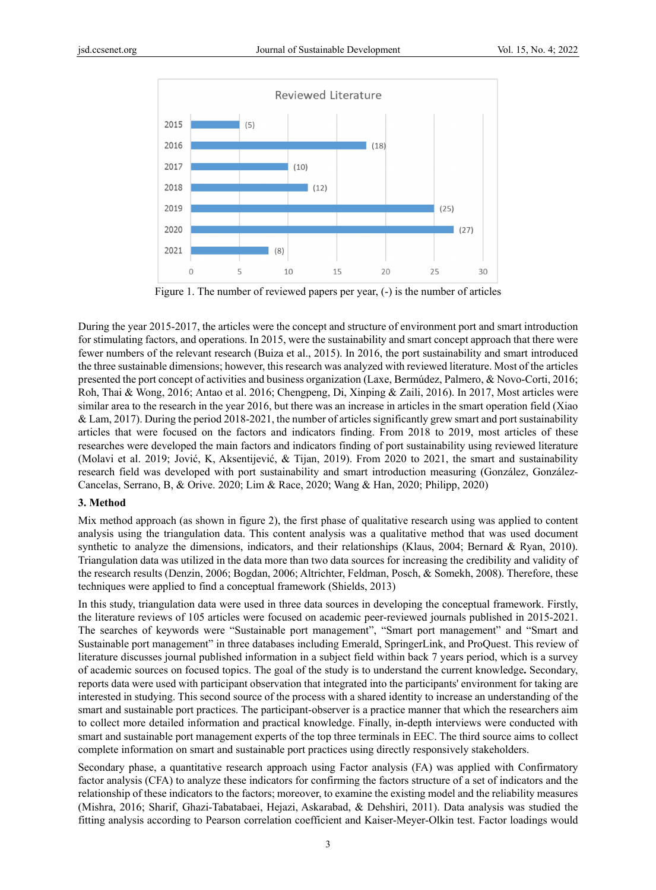

Figure 1. The number of reviewed papers per year, (-) is the number of articles

During the year 2015-2017, the articles were the concept and structure of environment port and smart introduction for stimulating factors, and operations. In 2015, were the sustainability and smart concept approach that there were fewer numbers of the relevant research (Buiza et al., 2015). In 2016, the port sustainability and smart introduced the three sustainable dimensions; however, this research was analyzed with reviewed literature. Most of the articles presented the port concept of activities and business organization (Laxe, Bermúdez, Palmero, & Novo-Corti, 2016; Roh, Thai & Wong, 2016; Antao et al. 2016; Chengpeng, Di, Xinping & Zaili, 2016). In 2017, Most articles were similar area to the research in the year 2016, but there was an increase in articles in the smart operation field (Xiao & Lam, 2017). During the period 2018-2021, the number of articles significantly grew smart and port sustainability articles that were focused on the factors and indicators finding. From 2018 to 2019, most articles of these researches were developed the main factors and indicators finding of port sustainability using reviewed literature (Molavi et al. 2019; Jović, K, Aksentijević, & Tijan, 2019). From 2020 to 2021, the smart and sustainability research field was developed with port sustainability and smart introduction measuring (González, González-Cancelas, Serrano, B, & Orive. 2020; Lim & Race, 2020; Wang & Han, 2020; Philipp, 2020)

## **3. Method**

Mix method approach (as shown in figure 2), the first phase of qualitative research using was applied to content analysis using the triangulation data. This content analysis was a qualitative method that was used document synthetic to analyze the dimensions, indicators, and their relationships (Klaus, 2004; Bernard & Ryan, 2010). Triangulation data was utilized in the data more than two data sources for increasing the credibility and validity of the research results (Denzin, 2006; Bogdan, 2006; Altrichter, Feldman, Posch, & Somekh, 2008). Therefore, these techniques were applied to find a conceptual framework (Shields, 2013)

In this study, triangulation data were used in three data sources in developing the conceptual framework. Firstly, the literature reviews of 105 articles were focused on academic peer-reviewed journals published in 2015-2021. The searches of keywords were "Sustainable port management", "Smart port management" and "Smart and Sustainable port management" in three databases including Emerald, SpringerLink, and ProQuest. This review of literature discusses journal published information in a subject field within back 7 years period, which is a survey of academic sources on focused topics. The goal of the study is to understand the current knowledge**.** Secondary, reports data were used with participant observation that integrated into the participants' environment for taking are interested in studying. This second source of the process with a shared identity to increase an understanding of the smart and sustainable port practices. The participant-observer is a practice manner that which the researchers aim to collect more detailed information and practical knowledge. Finally, in-depth interviews were conducted with smart and sustainable port management experts of the top three terminals in EEC. The third source aims to collect complete information on smart and sustainable port practices using directly responsively stakeholders.

Secondary phase, a quantitative research approach using Factor analysis (FA) was applied with Confirmatory factor analysis (CFA) to analyze these indicators for confirming the factors structure of a set of indicators and the relationship of these indicators to the factors; moreover, to examine the existing model and the reliability measures (Mishra, 2016; Sharif, Ghazi-Tabatabaei, Hejazi, Askarabad, & Dehshiri, 2011). Data analysis was studied the fitting analysis according to Pearson correlation coefficient and Kaiser-Meyer-Olkin test. Factor loadings would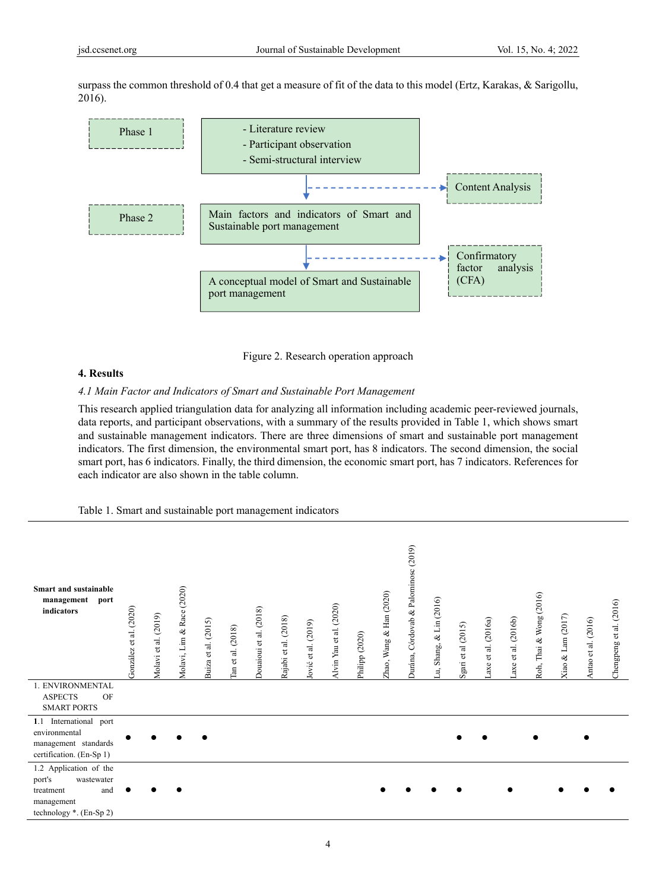surpass the common threshold of 0.4 that get a measure of fit of the data to this model (Ertz, Karakas, & Sarigollu, 2016).



Figure 2. Research operation approach

## **4. Results**

## *4.1 Main Factor and Indicators of Smart and Sustainable Port Management*

This research applied triangulation data for analyzing all information including academic peer-reviewed journals, data reports, and participant observations, with a summary of the results provided in Table 1, which shows smart and sustainable management indicators. There are three dimensions of smart and sustainable port management indicators. The first dimension, the environmental smart port, has 8 indicators. The second dimension, the social smart port, has 6 indicators. Finally, the third dimension, the economic smart port, has 7 indicators. References for each indicator are also shown in the table column.

## Table 1. Smart and sustainable port management indicators

| Smart and sustainable<br>management<br>port<br>indicators                                                      | fonzález et al. (2020) | Molavi et al. (2019) | Lim & Race (2020)<br>Molavi, | Buiza et al. (2015) | fan et al. (2018) | Douaioui et al. (2018) | Rajabi et al. (2018) | ović et al. (2019) | Alvin Yau et al. (2020) | Philipp (2020) | Zhao, Wang & Han (2020) | Ourána, Córdovab & Palominosc (2019) | Shang, & Lin (2016)<br>Ę, | gari et al (2015)<br>$\sim$ | axe et al. (2016a) | axe et al. (2016b) | Roh, Thai & Wong (2016) | Kiao & Lam (2017) | Antao et al. (2016) | Chengpeng et al. (2016) |
|----------------------------------------------------------------------------------------------------------------|------------------------|----------------------|------------------------------|---------------------|-------------------|------------------------|----------------------|--------------------|-------------------------|----------------|-------------------------|--------------------------------------|---------------------------|-----------------------------|--------------------|--------------------|-------------------------|-------------------|---------------------|-------------------------|
| 1. ENVIRONMENTAL<br><b>ASPECTS</b><br>OF                                                                       |                        |                      |                              |                     |                   |                        |                      |                    |                         |                |                         |                                      |                           |                             |                    |                    |                         |                   |                     |                         |
| <b>SMART PORTS</b>                                                                                             |                        |                      |                              |                     |                   |                        |                      |                    |                         |                |                         |                                      |                           |                             |                    |                    |                         |                   |                     |                         |
| 1.1 International port<br>environmental<br>management standards<br>certification. (En-Sp 1)                    |                        |                      |                              |                     |                   |                        |                      |                    |                         |                |                         |                                      |                           |                             |                    |                    |                         |                   |                     |                         |
| 1.2 Application of the<br>port's<br>wastewater<br>and<br>treatment<br>management<br>technology $*$ . (En-Sp 2) |                        |                      |                              |                     |                   |                        |                      |                    |                         |                |                         |                                      |                           |                             |                    |                    |                         |                   |                     |                         |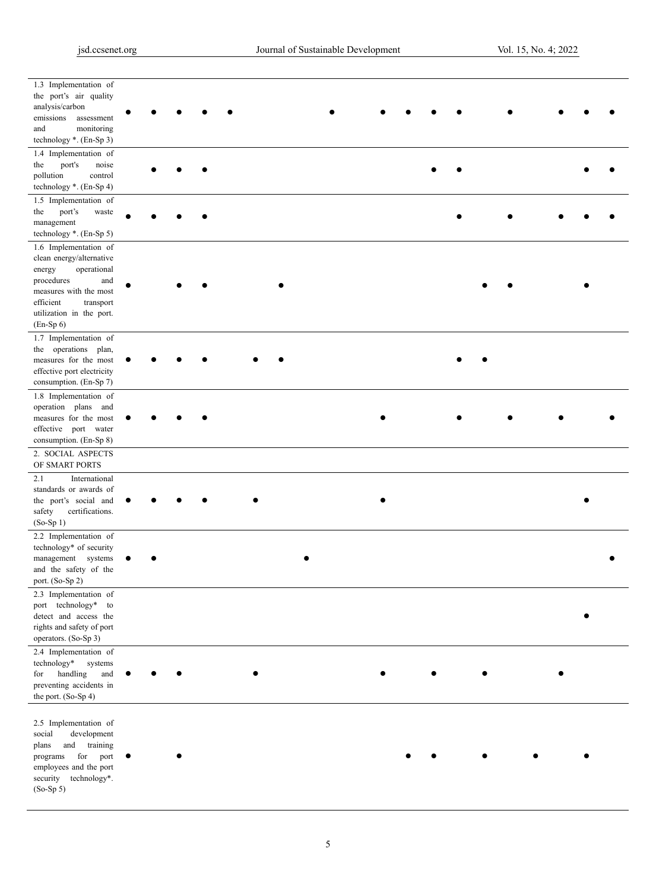| 1.3 Implementation of                   |  |  |  |  |  |  |  |  |
|-----------------------------------------|--|--|--|--|--|--|--|--|
|                                         |  |  |  |  |  |  |  |  |
| the port's air quality                  |  |  |  |  |  |  |  |  |
| analysis/carbon                         |  |  |  |  |  |  |  |  |
|                                         |  |  |  |  |  |  |  |  |
| emissions assessment                    |  |  |  |  |  |  |  |  |
| and<br>monitoring                       |  |  |  |  |  |  |  |  |
| technology *. (En-Sp 3)                 |  |  |  |  |  |  |  |  |
| 1.4 Implementation of                   |  |  |  |  |  |  |  |  |
|                                         |  |  |  |  |  |  |  |  |
| the<br>port's<br>noise                  |  |  |  |  |  |  |  |  |
| pollution<br>control                    |  |  |  |  |  |  |  |  |
| technology *. (En-Sp 4)                 |  |  |  |  |  |  |  |  |
|                                         |  |  |  |  |  |  |  |  |
| 1.5 Implementation of                   |  |  |  |  |  |  |  |  |
| the<br>port's<br>waste                  |  |  |  |  |  |  |  |  |
| management                              |  |  |  |  |  |  |  |  |
| technology *. (En-Sp 5)                 |  |  |  |  |  |  |  |  |
|                                         |  |  |  |  |  |  |  |  |
| 1.6 Implementation of                   |  |  |  |  |  |  |  |  |
| clean energy/alternative                |  |  |  |  |  |  |  |  |
| operational<br>energy                   |  |  |  |  |  |  |  |  |
| procedures<br>and                       |  |  |  |  |  |  |  |  |
| measures with the most                  |  |  |  |  |  |  |  |  |
| transport                               |  |  |  |  |  |  |  |  |
| efficient                               |  |  |  |  |  |  |  |  |
| utilization in the port.                |  |  |  |  |  |  |  |  |
| $(En-Sp 6)$                             |  |  |  |  |  |  |  |  |
| 1.7 Implementation of                   |  |  |  |  |  |  |  |  |
| the operations plan,                    |  |  |  |  |  |  |  |  |
|                                         |  |  |  |  |  |  |  |  |
| measures for the most                   |  |  |  |  |  |  |  |  |
| effective port electricity              |  |  |  |  |  |  |  |  |
| consumption. (En-Sp 7)                  |  |  |  |  |  |  |  |  |
| 1.8 Implementation of                   |  |  |  |  |  |  |  |  |
|                                         |  |  |  |  |  |  |  |  |
| operation plans and                     |  |  |  |  |  |  |  |  |
| measures for the most                   |  |  |  |  |  |  |  |  |
| effective port water                    |  |  |  |  |  |  |  |  |
| consumption. (En-Sp 8)                  |  |  |  |  |  |  |  |  |
|                                         |  |  |  |  |  |  |  |  |
| 2. SOCIAL ASPECTS                       |  |  |  |  |  |  |  |  |
|                                         |  |  |  |  |  |  |  |  |
| OF SMART PORTS                          |  |  |  |  |  |  |  |  |
|                                         |  |  |  |  |  |  |  |  |
| 2.1<br>International                    |  |  |  |  |  |  |  |  |
| standards or awards of                  |  |  |  |  |  |  |  |  |
| the port's social and                   |  |  |  |  |  |  |  |  |
| certifications.<br>safety               |  |  |  |  |  |  |  |  |
|                                         |  |  |  |  |  |  |  |  |
| $(So-Sp1)$                              |  |  |  |  |  |  |  |  |
| 2.2 Implementation of                   |  |  |  |  |  |  |  |  |
| technology* of security                 |  |  |  |  |  |  |  |  |
| management systems                      |  |  |  |  |  |  |  |  |
|                                         |  |  |  |  |  |  |  |  |
| and the safety of the                   |  |  |  |  |  |  |  |  |
| port. (So-Sp 2)                         |  |  |  |  |  |  |  |  |
| 2.3 Implementation of                   |  |  |  |  |  |  |  |  |
|                                         |  |  |  |  |  |  |  |  |
| port technology* to                     |  |  |  |  |  |  |  |  |
| detect and access the                   |  |  |  |  |  |  |  |  |
| rights and safety of port               |  |  |  |  |  |  |  |  |
| operators. (So-Sp 3)                    |  |  |  |  |  |  |  |  |
|                                         |  |  |  |  |  |  |  |  |
| 2.4 Implementation of                   |  |  |  |  |  |  |  |  |
| technology*<br>systems                  |  |  |  |  |  |  |  |  |
| handling<br>for<br>and                  |  |  |  |  |  |  |  |  |
| preventing accidents in                 |  |  |  |  |  |  |  |  |
| the port. (So-Sp 4)                     |  |  |  |  |  |  |  |  |
|                                         |  |  |  |  |  |  |  |  |
|                                         |  |  |  |  |  |  |  |  |
| 2.5 Implementation of                   |  |  |  |  |  |  |  |  |
| social<br>development                   |  |  |  |  |  |  |  |  |
| and training<br>plans                   |  |  |  |  |  |  |  |  |
|                                         |  |  |  |  |  |  |  |  |
| for port<br>programs                    |  |  |  |  |  |  |  |  |
| employees and the port                  |  |  |  |  |  |  |  |  |
| technology*.<br>security<br>$(So-Sp 5)$ |  |  |  |  |  |  |  |  |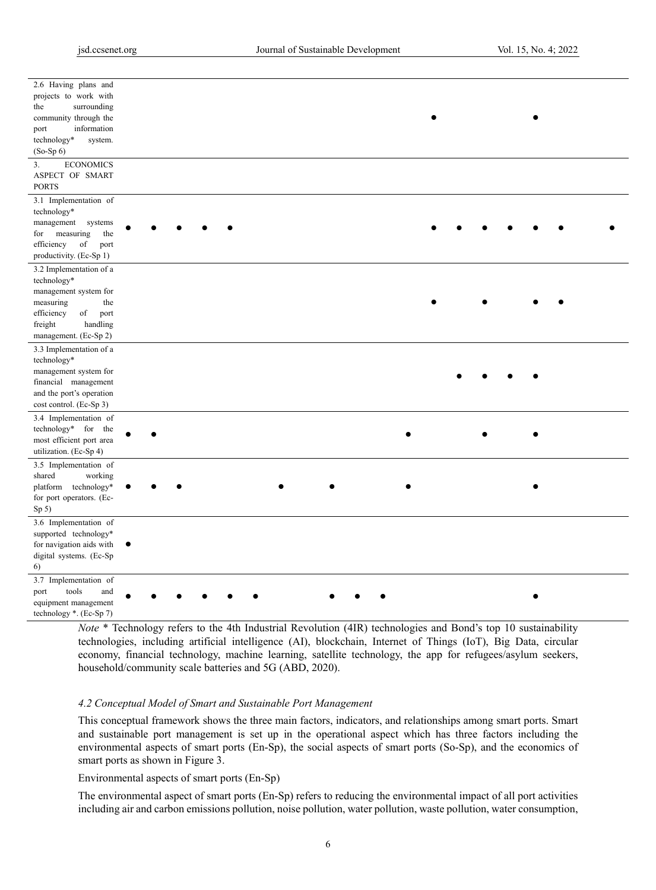| 2.6 Having plans and     |           |  |  |  |  |  |  |  |
|--------------------------|-----------|--|--|--|--|--|--|--|
| projects to work with    |           |  |  |  |  |  |  |  |
| surrounding<br>the       |           |  |  |  |  |  |  |  |
| community through the    |           |  |  |  |  |  |  |  |
| information<br>port      |           |  |  |  |  |  |  |  |
| technology*<br>system.   |           |  |  |  |  |  |  |  |
| $(So-Sp 6)$              |           |  |  |  |  |  |  |  |
|                          |           |  |  |  |  |  |  |  |
| <b>ECONOMICS</b><br>3.   |           |  |  |  |  |  |  |  |
| ASPECT OF SMART          |           |  |  |  |  |  |  |  |
| <b>PORTS</b>             |           |  |  |  |  |  |  |  |
| 3.1 Implementation of    |           |  |  |  |  |  |  |  |
| technology*              |           |  |  |  |  |  |  |  |
| management<br>systems    |           |  |  |  |  |  |  |  |
| measuring<br>the<br>for  |           |  |  |  |  |  |  |  |
| efficiency<br>of<br>port |           |  |  |  |  |  |  |  |
|                          |           |  |  |  |  |  |  |  |
| productivity. (Ec-Sp 1)  |           |  |  |  |  |  |  |  |
| 3.2 Implementation of a  |           |  |  |  |  |  |  |  |
| technology*              |           |  |  |  |  |  |  |  |
| management system for    |           |  |  |  |  |  |  |  |
| measuring<br>the         |           |  |  |  |  |  |  |  |
| of<br>efficiency<br>port |           |  |  |  |  |  |  |  |
| freight<br>handling      |           |  |  |  |  |  |  |  |
| management. (Ec-Sp 2)    |           |  |  |  |  |  |  |  |
| 3.3 Implementation of a  |           |  |  |  |  |  |  |  |
| technology*              |           |  |  |  |  |  |  |  |
| management system for    |           |  |  |  |  |  |  |  |
| financial management     |           |  |  |  |  |  |  |  |
|                          |           |  |  |  |  |  |  |  |
| and the port's operation |           |  |  |  |  |  |  |  |
| cost control. (Ec-Sp 3)  |           |  |  |  |  |  |  |  |
| 3.4 Implementation of    |           |  |  |  |  |  |  |  |
| technology* for the      |           |  |  |  |  |  |  |  |
| most efficient port area |           |  |  |  |  |  |  |  |
| utilization. (Ec-Sp 4)   |           |  |  |  |  |  |  |  |
| 3.5 Implementation of    |           |  |  |  |  |  |  |  |
| shared<br>working        |           |  |  |  |  |  |  |  |
| technology*<br>platform  |           |  |  |  |  |  |  |  |
| for port operators. (Ec- |           |  |  |  |  |  |  |  |
|                          |           |  |  |  |  |  |  |  |
| Sp(5)                    |           |  |  |  |  |  |  |  |
| 3.6 Implementation of    |           |  |  |  |  |  |  |  |
| supported technology*    |           |  |  |  |  |  |  |  |
| for navigation aids with | $\bullet$ |  |  |  |  |  |  |  |
| digital systems. (Ec-Sp  |           |  |  |  |  |  |  |  |
| 6)                       |           |  |  |  |  |  |  |  |
| 3.7 Implementation of    |           |  |  |  |  |  |  |  |
| port<br>tools<br>and     |           |  |  |  |  |  |  |  |
| equipment management     |           |  |  |  |  |  |  |  |
|                          |           |  |  |  |  |  |  |  |
| technology *. (Ec-Sp 7)  |           |  |  |  |  |  |  |  |

*Note* \* Technology refers to the 4th Industrial Revolution (4IR) technologies and Bond's top 10 sustainability technologies, including artificial intelligence (AI), blockchain, Internet of Things (IoT), Big Data, circular economy, financial technology, machine learning, satellite technology, the app for refugees/asylum seekers, household/community scale batteries and 5G (ABD, 2020).

#### *4.2 Conceptual Model of Smart and Sustainable Port Management*

This conceptual framework shows the three main factors, indicators, and relationships among smart ports. Smart and sustainable port management is set up in the operational aspect which has three factors including the environmental aspects of smart ports (En-Sp), the social aspects of smart ports (So-Sp), and the economics of smart ports as shown in Figure 3.

### Environmental aspects of smart ports (En-Sp)

The environmental aspect of smart ports (En-Sp) refers to reducing the environmental impact of all port activities including air and carbon emissions pollution, noise pollution, water pollution, waste pollution, water consumption,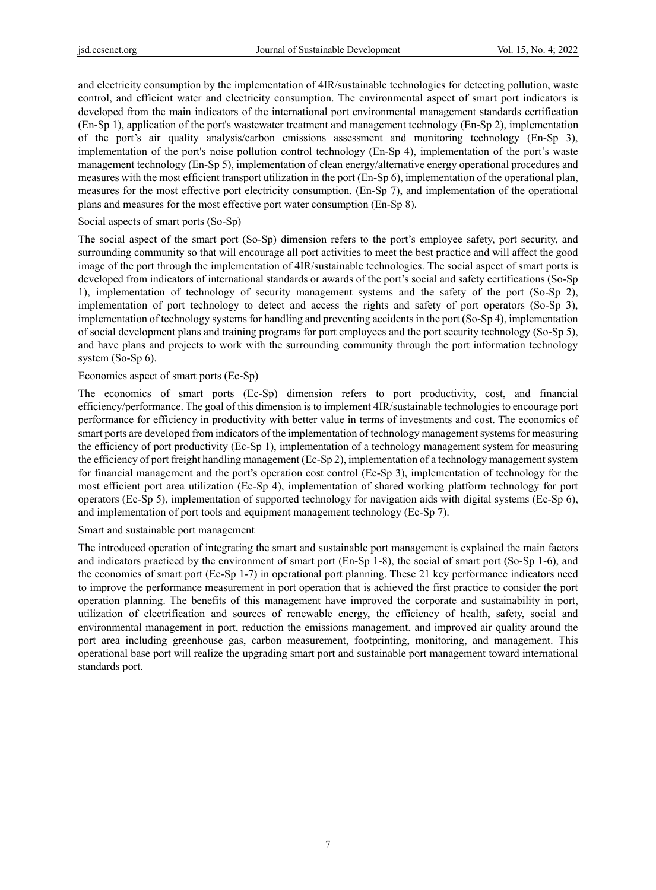and electricity consumption by the implementation of 4IR/sustainable technologies for detecting pollution, waste control, and efficient water and electricity consumption. The environmental aspect of smart port indicators is developed from the main indicators of the international port environmental management standards certification (En-Sp 1), application of the port's wastewater treatment and management technology (En-Sp 2), implementation of the port's air quality analysis/carbon emissions assessment and monitoring technology (En-Sp 3), implementation of the port's noise pollution control technology (En-Sp 4), implementation of the port's waste management technology (En-Sp 5), implementation of clean energy/alternative energy operational procedures and measures with the most efficient transport utilization in the port (En-Sp 6), implementation of the operational plan, measures for the most effective port electricity consumption. (En-Sp 7), and implementation of the operational plans and measures for the most effective port water consumption (En-Sp 8).

#### Social aspects of smart ports (So-Sp)

The social aspect of the smart port (So-Sp) dimension refers to the port's employee safety, port security, and surrounding community so that will encourage all port activities to meet the best practice and will affect the good image of the port through the implementation of 4IR/sustainable technologies. The social aspect of smart ports is developed from indicators of international standards or awards of the port's social and safety certifications (So-Sp 1), implementation of technology of security management systems and the safety of the port (So-Sp 2), implementation of port technology to detect and access the rights and safety of port operators (So-Sp 3), implementation of technology systems for handling and preventing accidents in the port (So-Sp 4), implementation of social development plans and training programs for port employees and the port security technology (So-Sp 5), and have plans and projects to work with the surrounding community through the port information technology system (So-Sp 6).

## Economics aspect of smart ports (Ec-Sp)

The economics of smart ports (Ec-Sp) dimension refers to port productivity, cost, and financial efficiency/performance. The goal of this dimension is to implement 4IR/sustainable technologies to encourage port performance for efficiency in productivity with better value in terms of investments and cost. The economics of smart ports are developed from indicators of the implementation of technology management systems for measuring the efficiency of port productivity (Ec-Sp 1), implementation of a technology management system for measuring the efficiency of port freight handling management (Ec-Sp 2), implementation of a technology management system for financial management and the port's operation cost control (Ec-Sp 3), implementation of technology for the most efficient port area utilization (Ec-Sp 4), implementation of shared working platform technology for port operators (Ec-Sp 5), implementation of supported technology for navigation aids with digital systems (Ec-Sp 6), and implementation of port tools and equipment management technology (Ec-Sp 7).

#### Smart and sustainable port management

The introduced operation of integrating the smart and sustainable port management is explained the main factors and indicators practiced by the environment of smart port (En-Sp 1-8), the social of smart port (So-Sp 1-6), and the economics of smart port (Ec-Sp 1-7) in operational port planning. These 21 key performance indicators need to improve the performance measurement in port operation that is achieved the first practice to consider the port operation planning. The benefits of this management have improved the corporate and sustainability in port, utilization of electrification and sources of renewable energy, the efficiency of health, safety, social and environmental management in port, reduction the emissions management, and improved air quality around the port area including greenhouse gas, carbon measurement, footprinting, monitoring, and management. This operational base port will realize the upgrading smart port and sustainable port management toward international standards port.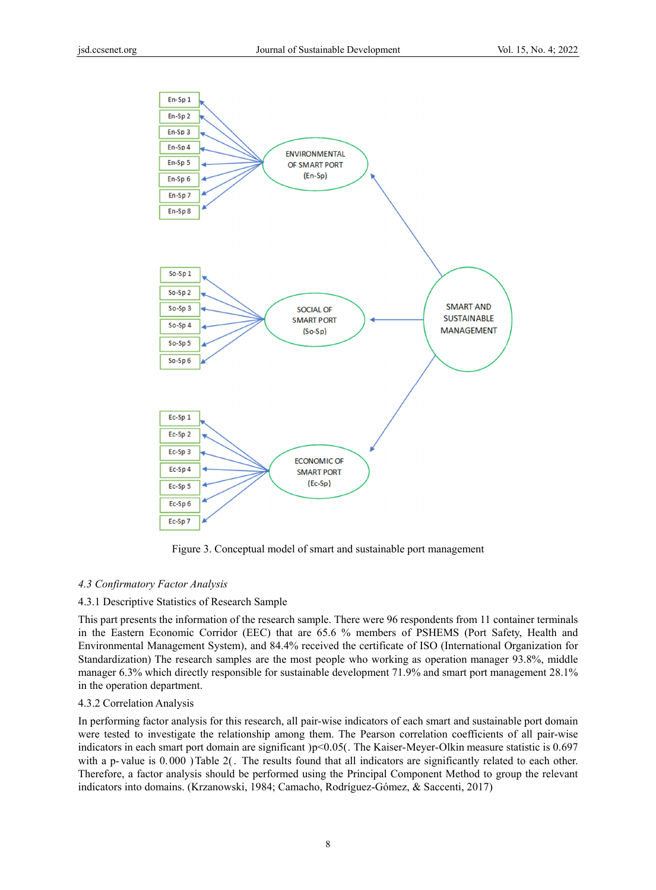

Figure 3. Conceptual model of smart and sustainable port management

## *4.3 Confirmatory Factor Analysis*

#### 4.3.1 Descriptive Statistics of Research Sample

This part presents the information of the research sample. There were 96 respondents from 11 container terminals in the Eastern Economic Corridor (EEC) that are 65.6 % members of PSHEMS (Port Safety, Health and Environmental Management System), and 84.4% received the certificate of ISO (International Organization for Standardization) The research samples are the most people who working as operation manager 93.8%, middle manager 6.3% which directly responsible for sustainable development 71.9% and smart port management 28.1% in the operation department.

#### 4.3.2 Correlation Analysis

In performing factor analysis for this research, all pair-wise indicators of each smart and sustainable port domain were tested to investigate the relationship among them. The Pearson correlation coefficients of all pair-wise indicators in each smart port domain are significant )p<0.05(. The Kaiser-Meyer-Olkin measure statistic is 0.697 with a p-value is 0.000 ) Table 2(. The results found that all indicators are significantly related to each other. Therefore, a factor analysis should be performed using the Principal Component Method to group the relevant indicators into domains. (Krzanowski, 1984; Camacho, Rodríguez-Gómez, & Saccenti, 2017)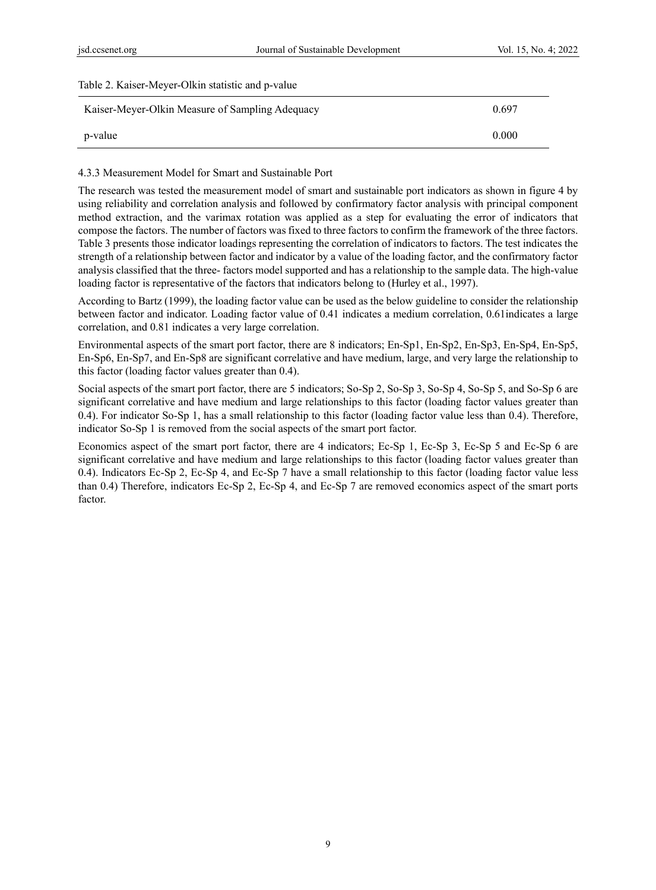| Table 2. Kaiser-Meyer-Olkin statistic and p-value |       |
|---------------------------------------------------|-------|
| Kaiser-Meyer-Olkin Measure of Sampling Adequacy   | 0.697 |
| p-value                                           | 0.000 |

#### 4.3.3 Measurement Model for Smart and Sustainable Port

The research was tested the measurement model of smart and sustainable port indicators as shown in figure 4 by using reliability and correlation analysis and followed by confirmatory factor analysis with principal component method extraction, and the varimax rotation was applied as a step for evaluating the error of indicators that compose the factors. The number of factors was fixed to three factors to confirm the framework of the three factors. Table 3 presents those indicator loadings representing the correlation of indicators to factors. The test indicates the strength of a relationship between factor and indicator by a value of the loading factor, and the confirmatory factor analysis classified that the three- factors model supported and has a relationship to the sample data. The high-value loading factor is representative of the factors that indicators belong to (Hurley et al., 1997).

According to Bartz (1999), the loading factor value can be used as the below guideline to consider the relationship between factor and indicator. Loading factor value of 0.41 indicates a medium correlation, 0.61indicates a large correlation, and 0.81 indicates a very large correlation.

Environmental aspects of the smart port factor, there are 8 indicators; En-Sp1, En-Sp2, En-Sp3, En-Sp4, En-Sp5, En-Sp6, En-Sp7, and En-Sp8 are significant correlative and have medium, large, and very large the relationship to this factor (loading factor values greater than 0.4).

Social aspects of the smart port factor, there are 5 indicators; So-Sp 2, So-Sp 3, So-Sp 4, So-Sp 5, and So-Sp 6 are significant correlative and have medium and large relationships to this factor (loading factor values greater than 0.4). For indicator So-Sp 1, has a small relationship to this factor (loading factor value less than 0.4). Therefore, indicator So-Sp 1 is removed from the social aspects of the smart port factor.

Economics aspect of the smart port factor, there are 4 indicators; Ec-Sp 1, Ec-Sp 3, Ec-Sp 5 and Ec-Sp 6 are significant correlative and have medium and large relationships to this factor (loading factor values greater than 0.4). Indicators Ec-Sp 2, Ec-Sp 4, and Ec-Sp 7 have a small relationship to this factor (loading factor value less than 0.4) Therefore, indicators Ec-Sp 2, Ec-Sp 4, and Ec-Sp 7 are removed economics aspect of the smart ports factor.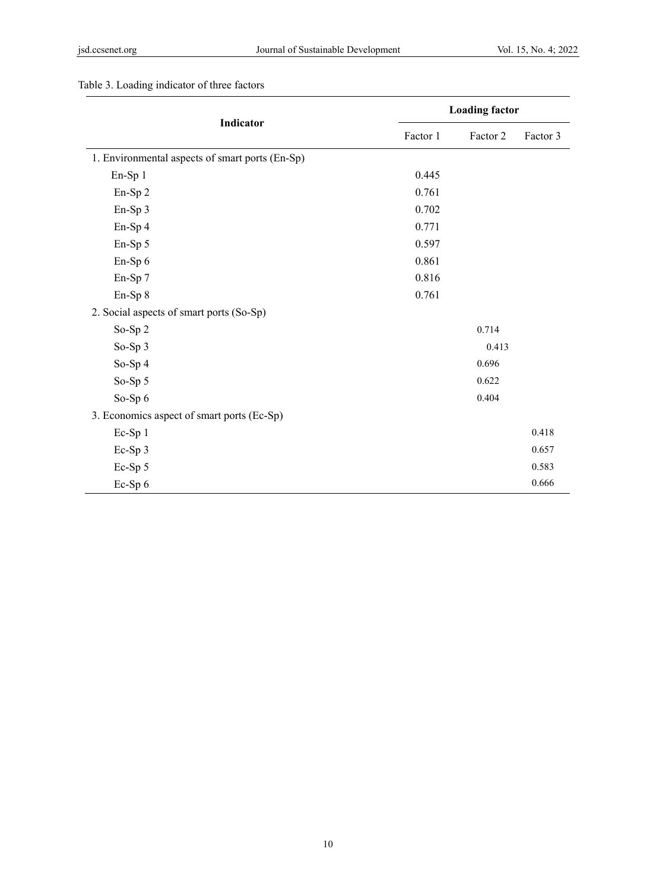|                                                 |          | <b>Loading factor</b>      |          |
|-------------------------------------------------|----------|----------------------------|----------|
| Indicator                                       | Factor 1 | Factor 2<br>0.714<br>0.413 | Factor 3 |
| 1. Environmental aspects of smart ports (En-Sp) |          |                            |          |
| En-Sp 1                                         | 0.445    |                            |          |
| En-Sp 2                                         | 0.761    |                            |          |
| En-Sp 3                                         | 0.702    |                            |          |
| En-Sp 4                                         | 0.771    |                            |          |
| En-Sp 5                                         | 0.597    |                            |          |
| En-Sp 6                                         | 0.861    |                            |          |
| En-Sp 7                                         | 0.816    |                            |          |
| En-Sp 8                                         | 0.761    |                            |          |
| 2. Social aspects of smart ports (So-Sp)        |          |                            |          |
| So-Sp 2                                         |          |                            |          |
| So-Sp 3                                         |          |                            |          |
| So-Sp 4                                         |          | 0.696                      |          |
| So-Sp 5                                         |          | 0.622                      |          |
| So-Sp 6                                         |          | 0.404                      |          |
| 3. Economics aspect of smart ports (Ec-Sp)      |          |                            |          |
| $Ec-Sp1$                                        |          |                            | 0.418    |
| Ec-Sp 3                                         |          |                            | 0.657    |
| Ec-Sp 5                                         |          |                            | 0.583    |
| Ec-Sp 6                                         |          |                            | 0.666    |

## Table 3. Loading indicator of three factors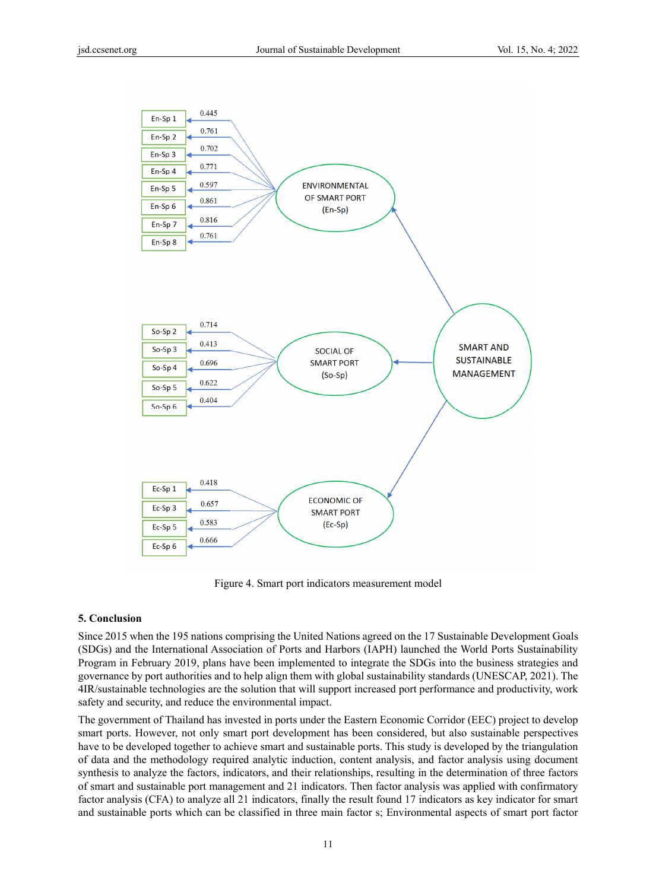

Figure 4. Smart port indicators measurement model

## **5. Conclusion**

Since 2015 when the 195 nations comprising the United Nations agreed on the 17 Sustainable Development Goals (SDGs) and the International Association of Ports and Harbors (IAPH) launched the World Ports Sustainability Program in February 2019, plans have been implemented to integrate the SDGs into the business strategies and governance by port authorities and to help align them with global sustainability standards (UNESCAP, 2021). The 4IR/sustainable technologies are the solution that will support increased port performance and productivity, work safety and security, and reduce the environmental impact.

The government of Thailand has invested in ports under the Eastern Economic Corridor (EEC) project to develop smart ports. However, not only smart port development has been considered, but also sustainable perspectives have to be developed together to achieve smart and sustainable ports. This study is developed by the triangulation of data and the methodology required analytic induction, content analysis, and factor analysis using document synthesis to analyze the factors, indicators, and their relationships, resulting in the determination of three factors of smart and sustainable port management and 21 indicators. Then factor analysis was applied with confirmatory factor analysis (CFA) to analyze all 21 indicators, finally the result found 17 indicators as key indicator for smart and sustainable ports which can be classified in three main factor s; Environmental aspects of smart port factor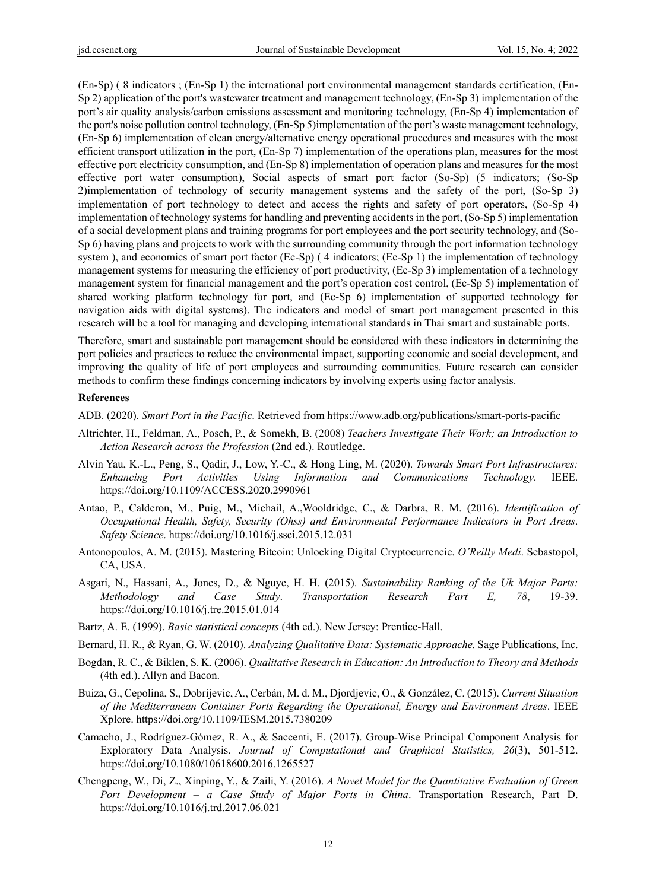(En-Sp) ( 8 indicators ; (En-Sp 1) the international port environmental management standards certification, (En-Sp 2) application of the port's wastewater treatment and management technology, (En-Sp 3) implementation of the port's air quality analysis/carbon emissions assessment and monitoring technology, (En-Sp 4) implementation of the port's noise pollution control technology, (En-Sp 5)implementation of the port's waste management technology, (En-Sp 6) implementation of clean energy/alternative energy operational procedures and measures with the most efficient transport utilization in the port, (En-Sp 7) implementation of the operations plan, measures for the most effective port electricity consumption, and (En-Sp 8) implementation of operation plans and measures for the most effective port water consumption), Social aspects of smart port factor (So-Sp) (5 indicators; (So-Sp 2)implementation of technology of security management systems and the safety of the port, (So-Sp 3) implementation of port technology to detect and access the rights and safety of port operators, (So-Sp 4) implementation of technology systems for handling and preventing accidents in the port, (So-Sp 5) implementation of a social development plans and training programs for port employees and the port security technology, and (So-Sp 6) having plans and projects to work with the surrounding community through the port information technology system ), and economics of smart port factor (Ec-Sp) (4 indicators; (Ec-Sp 1) the implementation of technology management systems for measuring the efficiency of port productivity, (Ec-Sp 3) implementation of a technology management system for financial management and the port's operation cost control, (Ec-Sp 5) implementation of shared working platform technology for port, and (Ec-Sp 6) implementation of supported technology for navigation aids with digital systems). The indicators and model of smart port management presented in this research will be a tool for managing and developing international standards in Thai smart and sustainable ports.

Therefore, smart and sustainable port management should be considered with these indicators in determining the port policies and practices to reduce the environmental impact, supporting economic and social development, and improving the quality of life of port employees and surrounding communities. Future research can consider methods to confirm these findings concerning indicators by involving experts using factor analysis.

#### **References**

ADB. (2020). *Smart Port in the Pacific*. Retrieved from https://www.adb.org/publications/smart-ports-pacific

- Altrichter, H., Feldman, A., Posch, P., & Somekh, B. (2008) *Teachers Investigate Their Work; an Introduction to Action Research across the Profession* (2nd ed.). Routledge.
- Alvin Yau, K.-L., Peng, S., Qadir, J., Low, Y.-C., & Hong Ling, M. (2020). *Towards Smart Port Infrastructures: Enhancing Port Activities Using Information and Communications Technology*. IEEE. https://doi.org/10.1109/ACCESS.2020.2990961
- Antao, P., Calderon, M., Puig, M., Michail, A.,Wooldridge, C., & Darbra, R. M. (2016). *Identification of Occupational Health, Safety, Security (Ohss) and Environmental Performance Indicators in Port Areas*. *Safety Science*. https://doi.org/10.1016/j.ssci.2015.12.031
- Antonopoulos, A. M. (2015). Mastering Bitcoin: Unlocking Digital Cryptocurrencie. *O'Reilly Medi*. Sebastopol, CA, USA.
- Asgari, N., Hassani, A., Jones, D., & Nguye, H. H. (2015). *Sustainability Ranking of the Uk Major Ports: Methodology and Case Study*. *Transportation Research Part E, 78*, 19-39. https://doi.org/10.1016/j.tre.2015.01.014
- Bartz, A. E. (1999). *Basic statistical concepts* (4th ed.). New Jersey: Prentice-Hall.
- Bernard, H. R., & Ryan, G. W. (2010). *Analyzing Qualitative Data: Systematic Approache.* Sage Publications, Inc.
- Bogdan, R. C., & Biklen, S. K. (2006). *Qualitative Research in Education: An Introduction to Theory and Methods* (4th ed.). Allyn and Bacon.
- Buiza, G., Cepolina, S., Dobrijevic, A., Cerbán, M. d. M., Djordjevic, O., & González, C. (2015). *Current Situation of the Mediterranean Container Ports Regarding the Operational, Energy and Environment Areas*. IEEE Xplore. https://doi.org/10.1109/IESM.2015.7380209
- Camacho, J., Rodríguez-Gómez, R. A., & Saccenti, E. (2017). Group-Wise Principal Component Analysis for Exploratory Data Analysis. *Journal of Computational and Graphical Statistics, 26*(3), 501-512. https://doi.org/10.1080/10618600.2016.1265527
- Chengpeng, W., Di, Z., Xinping, Y., & Zaili, Y. (2016). *A Novel Model for the Quantitative Evaluation of Green Port Development – a Case Study of Major Ports in China*. Transportation Research, Part D. https://doi.org/10.1016/j.trd.2017.06.021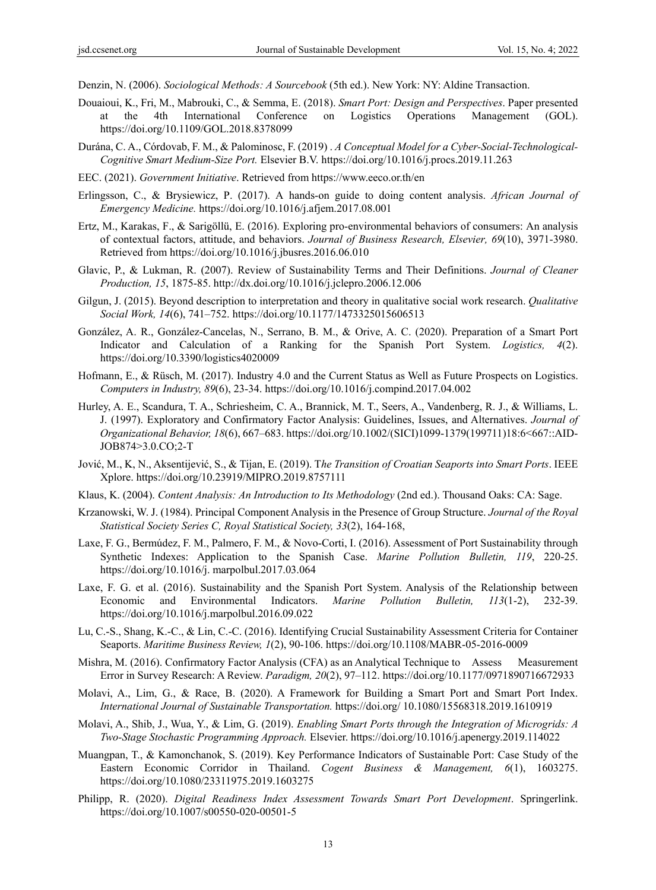Denzin, N. (2006). *Sociological Methods: A Sourcebook* (5th ed.). New York: NY: Aldine Transaction.

- Douaioui, K., Fri, M., Mabrouki, C., & Semma, E. (2018). *Smart Port: Design and Perspectives*. Paper presented at the 4th International Conference on Logistics Operations Management (GOL). https://doi.org/10.1109/GOL.2018.8378099
- Durána, C. A., Córdovab, F. M., & Palominosc, F. (2019) . *A Conceptual Model for a Cyber-Social-Technological-Cognitive Smart Medium-Size Port.* Elsevier B.V. https://doi.org/10.1016/j.procs.2019.11.263
- EEC. (2021). *Government Initiative*. Retrieved from https://www.eeco.or.th/en
- Erlingsson, C., & Brysiewicz, P. (2017). A hands-on guide to doing content analysis. *African Journal of Emergency Medicine.* https://doi.org/10.1016/j.afjem.2017.08.001
- Ertz, M., Karakas, F., & Sarigöllü, E. (2016). Exploring pro-environmental behaviors of consumers: An analysis of contextual factors, attitude, and behaviors. *Journal of Business Research, Elsevier, 69*(10), 3971-3980. Retrieved from https://doi.org/10.1016/j.jbusres.2016.06.010
- Glavic, P., & Lukman, R. (2007). Review of Sustainability Terms and Their Definitions. *Journal of Cleaner Production, 15*, 1875-85. http://dx.doi.org/10.1016/j.jclepro.2006.12.006
- Gilgun, J. (2015). Beyond description to interpretation and theory in qualitative social work research. *Qualitative Social Work, 14*(6), 741–752. https://doi.org/10.1177/1473325015606513
- González, A. R., González-Cancelas, N., Serrano, B. M., & Orive, A. C. (2020). Preparation of a Smart Port Indicator and Calculation of a Ranking for the Spanish Port System. *Logistics, 4*(2). https://doi.org/10.3390/logistics4020009
- Hofmann, E., & Rüsch, M. (2017). Industry 4.0 and the Current Status as Well as Future Prospects on Logistics. *Computers in Industry, 89*(6), 23-34. https://doi.org/10.1016/j.compind.2017.04.002
- Hurley, A. E., Scandura, T. A., Schriesheim, C. A., Brannick, M. T., Seers, A., Vandenberg, R. J., & Williams, L. J. (1997). Exploratory and Confirmatory Factor Analysis: Guidelines, Issues, and Alternatives. *Journal of Organizational Behavior, 18*(6), 667–683. https://doi.org/10.1002/(SICI)1099-1379(199711)18:6<667::AID-JOB874>3.0.CO;2-T
- Jović, M., K, N., Aksentijević, S., & Tijan, E. (2019). T*he Transition of Croatian Seaports into Smart Ports*. IEEE Xplore. https://doi.org/10.23919/MIPRO.2019.8757111
- Klaus, K. (2004). *Content Analysis: An Introduction to Its Methodology* (2nd ed.). Thousand Oaks: CA: Sage.
- Krzanowski, W. J. (1984). Principal Component Analysis in the Presence of Group Structure. *Journal of the Royal Statistical Society Series C, Royal Statistical Society, 33*(2), 164-168,
- Laxe, F. G., Bermúdez, F. M., Palmero, F. M., & Novo-Corti, I. (2016). Assessment of Port Sustainability through Synthetic Indexes: Application to the Spanish Case. *Marine Pollution Bulletin, 119*, 220-25. https://doi.org/10.1016/j. marpolbul.2017.03.064
- Laxe, F. G. et al. (2016). Sustainability and the Spanish Port System. Analysis of the Relationship between Economic and Environmental Indicators. *Marine Pollution Bulletin, 113*(1-2), 232-39. https://doi.org/10.1016/j.marpolbul.2016.09.022
- Lu, C.-S., Shang, K.-C., & Lin, C.-C. (2016). Identifying Crucial Sustainability Assessment Criteria for Container Seaports. *Maritime Business Review, 1*(2), 90-106. https://doi.org/10.1108/MABR-05-2016-0009
- Mishra, M. (2016). Confirmatory Factor Analysis (CFA) as an Analytical Technique to Assess Measurement Error in Survey Research: A Review. *Paradigm, 20*(2), 97–112. https://doi.org/10.1177/0971890716672933
- Molavi, A., Lim, G., & Race, B. (2020). A Framework for Building a Smart Port and Smart Port Index. *International Journal of Sustainable Transportation.* https://doi.org/ 10.1080/15568318.2019.1610919
- Molavi, A., Shib, J., Wua, Y., & Lim, G. (2019). *Enabling Smart Ports through the Integration of Microgrids: A Two-Stage Stochastic Programming Approach.* Elsevier. https://doi.org/10.1016/j.apenergy.2019.114022
- Muangpan, T., & Kamonchanok, S. (2019). Key Performance Indicators of Sustainable Port: Case Study of the Eastern Economic Corridor in Thailand. *Cogent Business & Management, 6*(1), 1603275. https://doi.org/10.1080/23311975.2019.1603275
- Philipp, R. (2020). *Digital Readiness Index Assessment Towards Smart Port Development*. Springerlink. https://doi.org/10.1007/s00550-020-00501-5